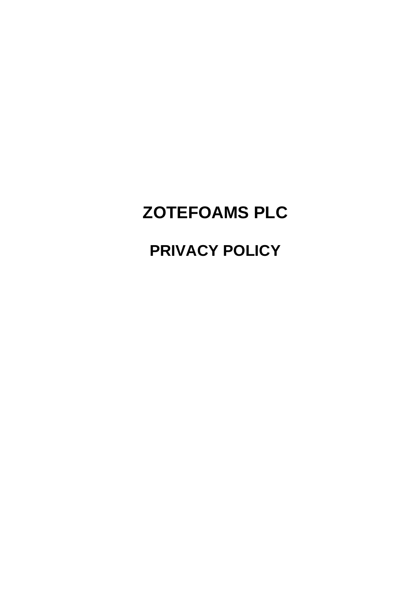# **ZOTEFOAMS PLC**

**PRIVACY POLICY**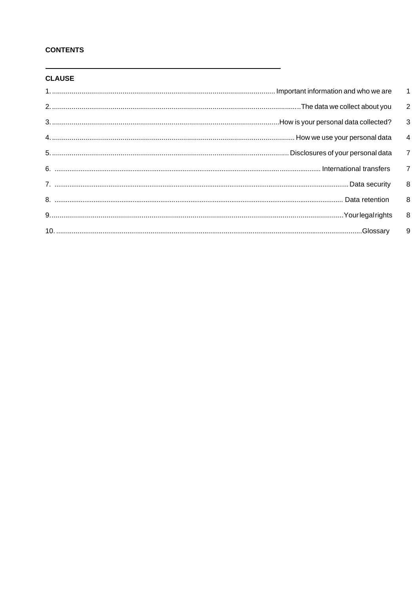# **CONTENTS**

# **CLAUSE**

| $\overline{2}$             |
|----------------------------|
| $\overline{\mathbf{3}}$    |
| $\overline{4}$             |
| $\overline{7}$             |
| $\overline{7}$             |
| 8 <sup>8</sup>             |
| $\overline{\phantom{a}}$ 8 |
| 8                          |
|                            |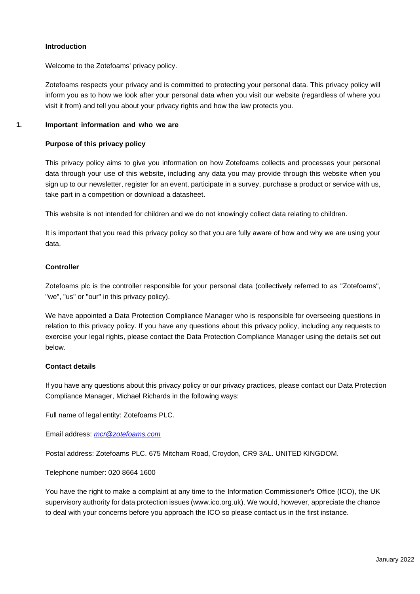## **Introduction**

Welcome to the Zotefoams' privacy policy.

Zotefoams respects your privacy and is committed to protecting your personal data. This privacy policy will inform you as to how we look after your personal data when you visit our website (regardless of where you visit it from) and tell you about your privacy rights and how the law protects you.

## **1. Important information and who we are**

#### <span id="page-2-0"></span>**Purpose of this privacy policy**

This privacy policy aims to give you information on how Zotefoams collects and processes your personal data through your use of this website, including any data you may provide through this website when you sign up to our newsletter, register for an event, participate in a survey, purchase a product or service with us, take part in a competition or download a datasheet.

This website is not intended for children and we do not knowingly collect data relating to children.

It is important that you read this privacy policy so that you are fully aware of how and why we are using your data.

#### **Controller**

Zotefoams plc is the controller responsible for your personal data (collectively referred to as "Zotefoams", "we", "us" or "our" in this privacy policy).

We have appointed a Data Protection Compliance Manager who is responsible for overseeing questions in relation to this privacy policy. If you have any questions about this privacy policy, including any requests to exercise your legal rights, please contact the Data Protection Compliance Manager using the details set out below.

## **Contact details**

If you have any questions about this privacy policy or our privacy practices, please contact our Data Protection Compliance Manager, Michael Richards in the following ways:

Full name of legal entity: Zotefoams PLC.

Email address: *[mcr@zotefoams.com](mailto:mcr@zotefoams.com)*

Postal address: Zotefoams PLC. 675 Mitcham Road, Croydon, CR9 3AL. UNITED KINGDOM.

Telephone number: 020 8664 1600

You have the right to make a complaint at any time to the Information Commissioner's Office (ICO), the UK supervisory authority for data protection issues (www.ico.org.uk). We would, however, appreciate the chance to deal with your concerns before you approach the ICO so please contact us in the first instance.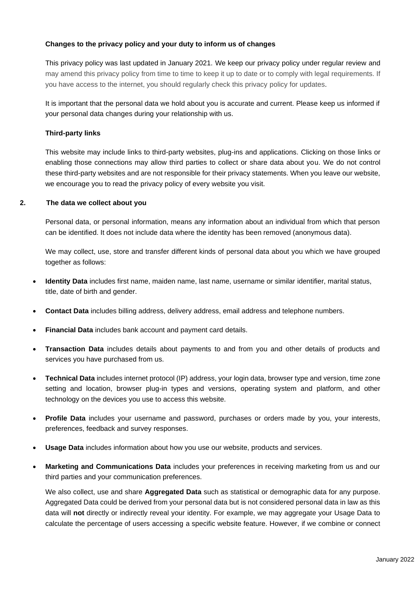## **Changes to the privacy policy and your duty to inform us of changes**

This privacy policy was last updated in January 2021. We keep our privacy policy under regular review and may amend this privacy policy from time to time to keep it up to date or to comply with legal requirements. If you have access to the internet, you should regularly check this privacy policy for updates.

It is important that the personal data we hold about you is accurate and current. Please keep us informed if your personal data changes during your relationship with us.

#### **Third-party links**

This website may include links to third-party websites, plug-ins and applications. Clicking on those links or enabling those connections may allow third parties to collect or share data about you. We do not control these third-party websites and are not responsible for their privacy statements. When you leave our website, we encourage you to read the privacy policy of every website you visit.

#### <span id="page-3-0"></span>**2. The data we collect about you**

Personal data, or personal information, means any information about an individual from which that person can be identified. It does not include data where the identity has been removed (anonymous data).

We may collect, use, store and transfer different kinds of personal data about you which we have grouped together as follows:

- **Identity Data** includes first name, maiden name, last name, username or similar identifier, marital status, title, date of birth and gender.
- **Contact Data** includes billing address, delivery address, email address and telephone numbers.
- **Financial Data** includes bank account and payment card details.
- **Transaction Data** includes details about payments to and from you and other details of products and services you have purchased from us.
- **Technical Data** includes internet protocol (IP) address, your login data, browser type and version, time zone setting and location, browser plug-in types and versions, operating system and platform, and other technology on the devices you use to access this website.
- **Profile Data** includes your username and password, purchases or orders made by you, your interests, preferences, feedback and survey responses.
- **Usage Data** includes information about how you use our website, products and services.
- **Marketing and Communications Data** includes your preferences in receiving marketing from us and our third parties and your communication preferences.

We also collect, use and share **Aggregated Data** such as statistical or demographic data for any purpose. Aggregated Data could be derived from your personal data but is not considered personal data in law as this data will **not** directly or indirectly reveal your identity. For example, we may aggregate your Usage Data to calculate the percentage of users accessing a specific website feature. However, if we combine or connect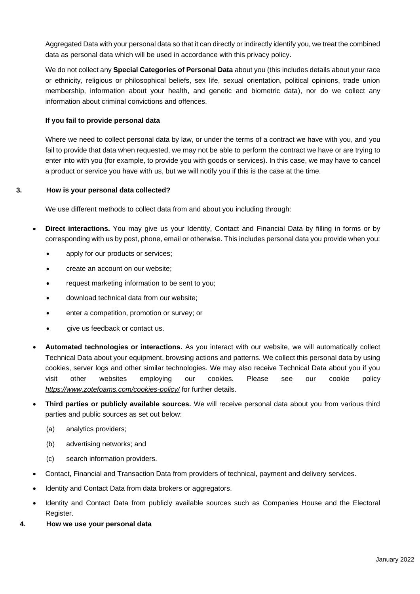Aggregated Data with your personal data so that it can directly or indirectly identify you, we treat the combined data as personal data which will be used in accordance with this privacy policy.

We do not collect any **Special Categories of Personal Data** about you (this includes details about your race or ethnicity, religious or philosophical beliefs, sex life, sexual orientation, political opinions, trade union membership, information about your health, and genetic and biometric data), nor do we collect any information about criminal convictions and offences.

## **If you fail to provide personal data**

Where we need to collect personal data by law, or under the terms of a contract we have with you, and you fail to provide that data when requested, we may not be able to perform the contract we have or are trying to enter into with you (for example, to provide you with goods or services). In this case, we may have to cancel a product or service you have with us, but we will notify you if this is the case at the time.

#### <span id="page-4-0"></span>**3. How is your personal data collected?**

We use different methods to collect data from and about you including through:

- **Direct interactions.** You may give us your Identity, Contact and Financial Data by filling in forms or by corresponding with us by post, phone, email or otherwise. This includes personal data you provide when you:
	- apply for our products or services;
	- create an account on our website;
	- request marketing information to be sent to you;
	- download technical data from our website;
	- enter a competition, promotion or survey; or
	- give us feedback or contact us.
- **Automated technologies or interactions.** As you interact with our website, we will automatically collect Technical Data about your equipment, browsing actions and patterns. We collect this personal data by using cookies, server logs and other similar technologies. We may also receive Technical Data about you if you visit other websites employing our cookies. Please see our cookie policy *<https://www.zotefoams.com/cookies-policy/>* for further details.
- **Third parties or publicly available sources.** We will receive personal data about you from various third parties and public sources as set out below:
	- (a) analytics providers;
	- (b) advertising networks; and
	- (c) search information providers.
- Contact, Financial and Transaction Data from providers of technical, payment and delivery services.
- Identity and Contact Data from data brokers or aggregators.
- Identity and Contact Data from publicly available sources such as Companies House and the Electoral Register.
- <span id="page-4-1"></span>**4. How we use your personal data**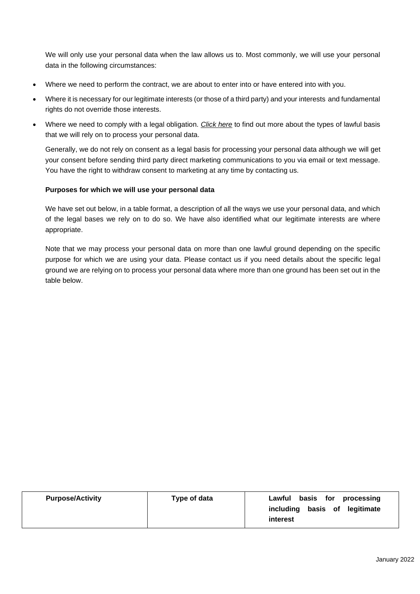We will only use your personal data when the law allows us to. Most commonly, we will use your personal data in the following circumstances:

- Where we need to perform the contract, we are about to enter into or have entered into with you.
- Where it is necessary for our legitimate interests (or those of a third party) and your interests and fundamental rights do not override those interests.
- Where we need to comply with a legal obligation. *[Click here](#page-10-1)* to find out more about the types of lawful basis that we will rely on to process your personal data.

Generally, we do not rely on consent as a legal basis for processing your personal data although we will get your consent before sending third party direct marketing communications to you via email or text message. You have the right to withdraw consent to marketing at any time by contacting us.

## **Purposes for which we will use your personal data**

We have set out below, in a table format, a description of all the ways we use your personal data, and which of the legal bases we rely on to do so. We have also identified what our legitimate interests are where appropriate.

Note that we may process your personal data on more than one lawful ground depending on the specific purpose for which we are using your data. Please contact us if you need details about the specific legal ground we are relying on to process your personal data where more than one ground has been set out in the table below.

| <b>Purpose/Activity</b> | Type of data | Lawful basis for processing<br>including basis of legitimate |
|-------------------------|--------------|--------------------------------------------------------------|
|                         |              | interest                                                     |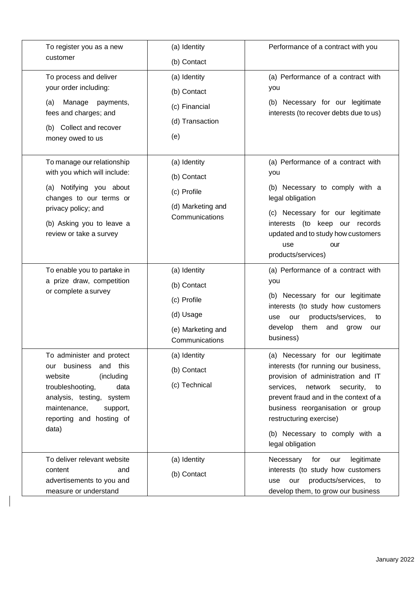| To register you as a new                                                                                                                                                                                                                                                                                                      | (a) Identity                                                                                                                                                | Performance of a contract with you                                                                                                                                                                                                                                                                                |
|-------------------------------------------------------------------------------------------------------------------------------------------------------------------------------------------------------------------------------------------------------------------------------------------------------------------------------|-------------------------------------------------------------------------------------------------------------------------------------------------------------|-------------------------------------------------------------------------------------------------------------------------------------------------------------------------------------------------------------------------------------------------------------------------------------------------------------------|
| customer                                                                                                                                                                                                                                                                                                                      | (b) Contact                                                                                                                                                 |                                                                                                                                                                                                                                                                                                                   |
| To process and deliver<br>your order including:<br>Manage<br>payments,<br>(a)<br>fees and charges; and<br>(b) Collect and recover<br>money owed to us<br>To manage our relationship<br>with you which will include:<br>(a) Notifying you about<br>changes to our terms or<br>privacy policy; and<br>(b) Asking you to leave a | (a) Identity<br>(b) Contact<br>(c) Financial<br>(d) Transaction<br>(e)<br>(a) Identity<br>(b) Contact<br>(c) Profile<br>(d) Marketing and<br>Communications | (a) Performance of a contract with<br>you<br>(b) Necessary for our legitimate<br>interests (to recover debts due to us)<br>(a) Performance of a contract with<br>you<br>(b) Necessary to comply with a<br>legal obligation<br>(c) Necessary for our legitimate<br>interests (to keep our records                  |
| review or take a survey                                                                                                                                                                                                                                                                                                       |                                                                                                                                                             | updated and to study how customers<br>use<br>our<br>products/services)                                                                                                                                                                                                                                            |
| To enable you to partake in<br>a prize draw, competition<br>or complete a survey                                                                                                                                                                                                                                              | (a) Identity<br>(b) Contact<br>(c) Profile<br>(d) Usage<br>(e) Marketing and<br>Communications                                                              | (a) Performance of a contract with<br>you<br>(b) Necessary for our legitimate<br>interests (to study how customers<br>products/services,<br>our<br>use<br>to<br>develop them<br>and<br>grow<br>our<br>business)                                                                                                   |
| To administer and protect<br>business<br>and<br>this<br>our<br>website<br>(including<br>troubleshooting,<br>data<br>analysis, testing, system<br>maintenance,<br>support,<br>reporting and hosting of<br>data)                                                                                                                | (a) Identity<br>(b) Contact<br>(c) Technical                                                                                                                | (a) Necessary for our legitimate<br>interests (for running our business,<br>provision of administration and IT<br>services, network security,<br>to<br>prevent fraud and in the context of a<br>business reorganisation or group<br>restructuring exercise)<br>(b) Necessary to comply with a<br>legal obligation |
| To deliver relevant website<br>and<br>content<br>advertisements to you and<br>measure or understand                                                                                                                                                                                                                           | (a) Identity<br>(b) Contact                                                                                                                                 | Necessary<br>legitimate<br>for<br>our<br>interests (to study how customers<br>products/services,<br>our<br>use<br>to<br>develop them, to grow our business                                                                                                                                                        |

 $\overline{\phantom{a}}$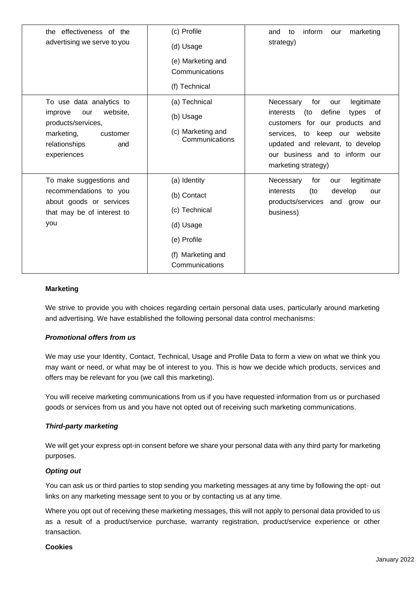| the effectiveness of the<br>advertising we serve to you                                                                                       | (c) Profile<br>(d) Usage<br>(e) Marketing and<br>Communications<br>(f) Technical                                | inform<br>marketing<br>and<br>to<br>our<br>strategy)                                                                                                                                                                                                     |
|-----------------------------------------------------------------------------------------------------------------------------------------------|-----------------------------------------------------------------------------------------------------------------|----------------------------------------------------------------------------------------------------------------------------------------------------------------------------------------------------------------------------------------------------------|
| To use data analytics to<br>website,<br>improve<br>our<br>products/services,<br>marketing,<br>customer<br>relationships<br>and<br>experiences | (a) Technical<br>(b) Usage<br>(c) Marketing and<br>Communications                                               | Necessary<br>for<br>legitimate<br>our<br>define<br>interests<br>(to<br>types<br>of<br>customers for our products and<br>keep<br>our website<br>services, to<br>updated and relevant, to develop<br>our business and to inform our<br>marketing strategy) |
| To make suggestions and<br>recommendations to you<br>about goods or services<br>that may be of interest to<br>you                             | (a) Identity<br>(b) Contact<br>(c) Technical<br>(d) Usage<br>(e) Profile<br>(f) Marketing and<br>Communications | legitimate<br>Necessary<br>for<br>our<br>develop<br>interests<br>(to<br>our<br>products/services<br>and grow<br>our<br>business)                                                                                                                         |

## **Marketing**

We strive to provide you with choices regarding certain personal data uses, particularly around marketing and advertising. We have established the following personal data control mechanisms:

## *Promotional offers from us*

We may use your Identity, Contact, Technical, Usage and Profile Data to form a view on what we think you may want or need, or what may be of interest to you. This is how we decide which products, services and offers may be relevant for you (we call this marketing).

You will receive marketing communications from us if you have requested information from us or purchased goods or services from us and you have not opted out of receiving such marketing communications.

## *Third-party marketing*

We will get your express opt-in consent before we share your personal data with any third party for marketing purposes.

## *Opting out*

You can ask us or third parties to stop sending you marketing messages at any time by following the opt- out links on any marketing message sent to you or by contacting us at any time.

Where you opt out of receiving these marketing messages, this will not apply to personal data provided to us as a result of a product/service purchase, warranty registration, product/service experience or other transaction.

## **Cookies**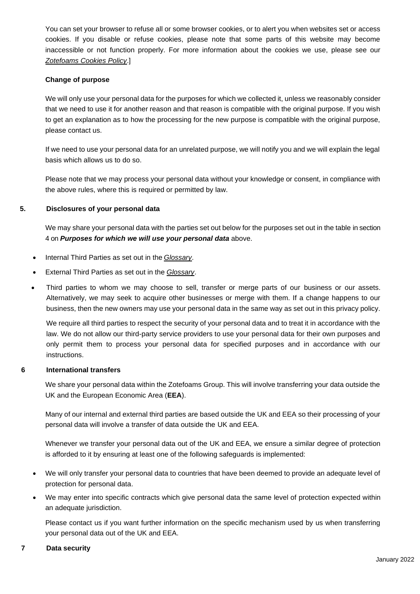You can set your browser to refuse all or some browser cookies, or to alert you when websites set or access cookies. If you disable or refuse cookies, please note that some parts of this website may become inaccessible or not function properly. For more information about the cookies we use, please see our *[Zotefoams Cookies Policy](https://www.zotefoams.com/cookies-policy/)*.]

## **Change of purpose**

We will only use your personal data for the purposes for which we collected it, unless we reasonably consider that we need to use it for another reason and that reason is compatible with the original purpose. If you wish to get an explanation as to how the processing for the new purpose is compatible with the original purpose, please contact us.

If we need to use your personal data for an unrelated purpose, we will notify you and we will explain the legal basis which allows us to do so.

Please note that we may process your personal data without your knowledge or consent, in compliance with the above rules, where this is required or permitted by law.

# <span id="page-8-0"></span>**5. Disclosures of your personal data**

We may share your personal data with the parties set out below for the purposes set out in the table in section 4 on *Purposes for which we will use your personal data* above.

- Internal Third Parties as set out in the *[Glossary](#page-11-0)*.
- External Third Parties as set out in the *[Glossary](#page-11-1)*.
- Third parties to whom we may choose to sell, transfer or merge parts of our business or our assets. Alternatively, we may seek to acquire other businesses or merge with them. If a change happens to our business, then the new owners may use your personal data in the same way as set out in this privacy policy.

We require all third parties to respect the security of your personal data and to treat it in accordance with the law. We do not allow our third-party service providers to use your personal data for their own purposes and only permit them to process your personal data for specified purposes and in accordance with our instructions.

## <span id="page-8-1"></span>**6 International transfers**

We share your personal data within the Zotefoams Group. This will involve transferring your data outside the UK and the European Economic Area (**EEA**).

Many of our internal and external third parties are based outside the UK and EEA so their processing of your personal data will involve a transfer of data outside the UK and EEA.

Whenever we transfer your personal data out of the UK and EEA, we ensure a similar degree of protection is afforded to it by ensuring at least one of the following safeguards is implemented:

- We will only transfer your personal data to countries that have been deemed to provide an adequate level of protection for personal data.
- We may enter into specific contracts which give personal data the same level of protection expected within an adequate jurisdiction.

Please contact us if you want further information on the specific mechanism used by us when transferring your personal data out of the UK and EEA.

## <span id="page-8-2"></span>**7 Data security**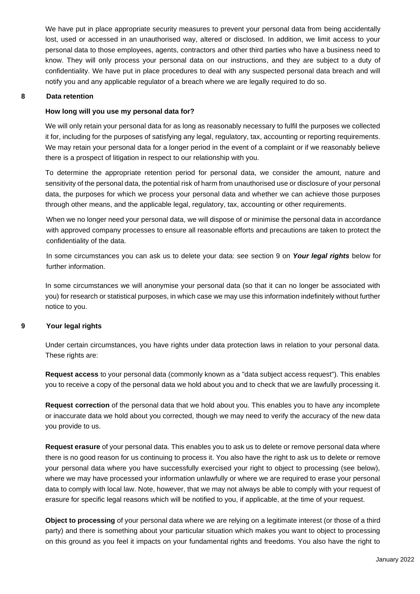We have put in place appropriate security measures to prevent your personal data from being accidentally lost, used or accessed in an unauthorised way, altered or disclosed. In addition, we limit access to your personal data to those employees, agents, contractors and other third parties who have a business need to know. They will only process your personal data on our instructions, and they are subject to a duty of confidentiality. We have put in place procedures to deal with any suspected personal data breach and will notify you and any applicable regulator of a breach where we are legally required to do so.

## <span id="page-9-0"></span>**8 Data retention**

#### **How long will you use my personal data for?**

We will only retain your personal data for as long as reasonably necessary to fulfil the purposes we collected it for, including for the purposes of satisfying any legal, regulatory, tax, accounting or reporting requirements. We may retain your personal data for a longer period in the event of a complaint or if we reasonably believe there is a prospect of litigation in respect to our relationship with you.

To determine the appropriate retention period for personal data, we consider the amount, nature and sensitivity of the personal data, the potential risk of harm from unauthorised use or disclosure of your personal data, the purposes for which we process your personal data and whether we can achieve those purposes through other means, and the applicable legal, regulatory, tax, accounting or other requirements.

When we no longer need your personal data, we will dispose of or minimise the personal data in accordance with approved company processes to ensure all reasonable efforts and precautions are taken to protect the confidentiality of the data.

In some circumstances you can ask us to delete your data: see section 9 on *Your legal rights* below for further information.

In some circumstances we will anonymise your personal data (so that it can no longer be associated with you) for research or statistical purposes, in which case we may use this information indefinitely without further notice to you.

## <span id="page-9-1"></span>**9 Your legal rights**

Under certain circumstances, you have rights under data protection laws in relation to your personal data. These rights are:

**Request access** to your personal data (commonly known as a "data subject access request"). This enables you to receive a copy of the personal data we hold about you and to check that we are lawfully processing it.

**Request correction** of the personal data that we hold about you. This enables you to have any incomplete or inaccurate data we hold about you corrected, though we may need to verify the accuracy of the new data you provide to us.

**Request erasure** of your personal data. This enables you to ask us to delete or remove personal data where there is no good reason for us continuing to process it. You also have the right to ask us to delete or remove your personal data where you have successfully exercised your right to object to processing (see below), where we may have processed your information unlawfully or where we are required to erase your personal data to comply with local law. Note, however, that we may not always be able to comply with your request of erasure for specific legal reasons which will be notified to you, if applicable, at the time of your request.

**Object to processing** of your personal data where we are relying on a legitimate interest (or those of a third party) and there is something about your particular situation which makes you want to object to processing on this ground as you feel it impacts on your fundamental rights and freedoms. You also have the right to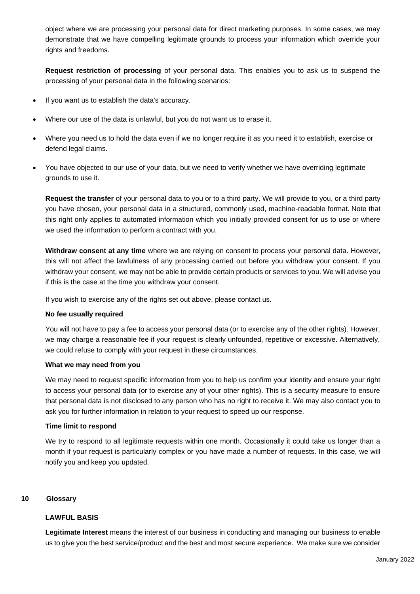object where we are processing your personal data for direct marketing purposes. In some cases, we may demonstrate that we have compelling legitimate grounds to process your information which override your rights and freedoms.

**Request restriction of processing** of your personal data. This enables you to ask us to suspend the processing of your personal data in the following scenarios:

- If you want us to establish the data's accuracy.
- Where our use of the data is unlawful, but you do not want us to erase it.
- Where you need us to hold the data even if we no longer require it as you need it to establish, exercise or defend legal claims.
- You have objected to our use of your data, but we need to verify whether we have overriding legitimate grounds to use it.

**Request the transfer** of your personal data to you or to a third party. We will provide to you, or a third party you have chosen, your personal data in a structured, commonly used, machine-readable format. Note that this right only applies to automated information which you initially provided consent for us to use or where we used the information to perform a contract with you.

**Withdraw consent at any time** where we are relying on consent to process your personal data. However, this will not affect the lawfulness of any processing carried out before you withdraw your consent. If you withdraw your consent, we may not be able to provide certain products or services to you. We will advise you if this is the case at the time you withdraw your consent.

If you wish to exercise any of the rights set out above, please contact us.

## **No fee usually required**

You will not have to pay a fee to access your personal data (or to exercise any of the other rights). However, we may charge a reasonable fee if your request is clearly unfounded, repetitive or excessive. Alternatively, we could refuse to comply with your request in these circumstances.

## **What we may need from you**

We may need to request specific information from you to help us confirm your identity and ensure your right to access your personal data (or to exercise any of your other rights). This is a security measure to ensure that personal data is not disclosed to any person who has no right to receive it. We may also contact you to ask you for further information in relation to your request to speed up our response.

## **Time limit to respond**

We try to respond to all legitimate requests within one month. Occasionally it could take us longer than a month if your request is particularly complex or you have made a number of requests. In this case, we will notify you and keep you updated.

# <span id="page-10-0"></span>**10 Glossary**

# <span id="page-10-1"></span>**LAWFUL BASIS**

**Legitimate Interest** means the interest of our business in conducting and managing our business to enable us to give you the best service/product and the best and most secure experience. We make sure we consider